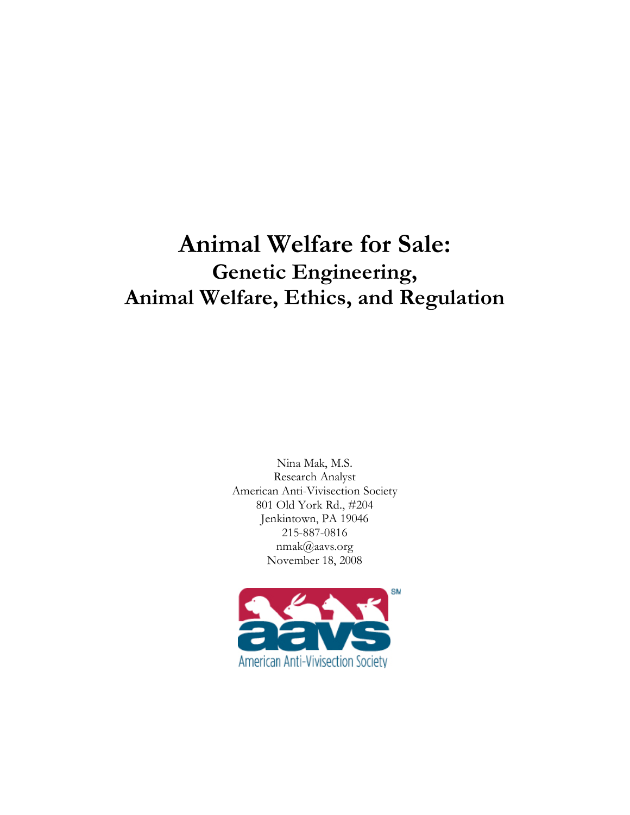# **Animal Welfare for Sale: Genetic Engineering, Animal Welfare, Ethics, and Regulation**

Nina Mak, M.S. Research Analyst American Anti-Vivisection Society 801 Old York Rd., #204 Jenkintown, PA 19046 215-887-0816 nmak@aavs.org November 18, 2008

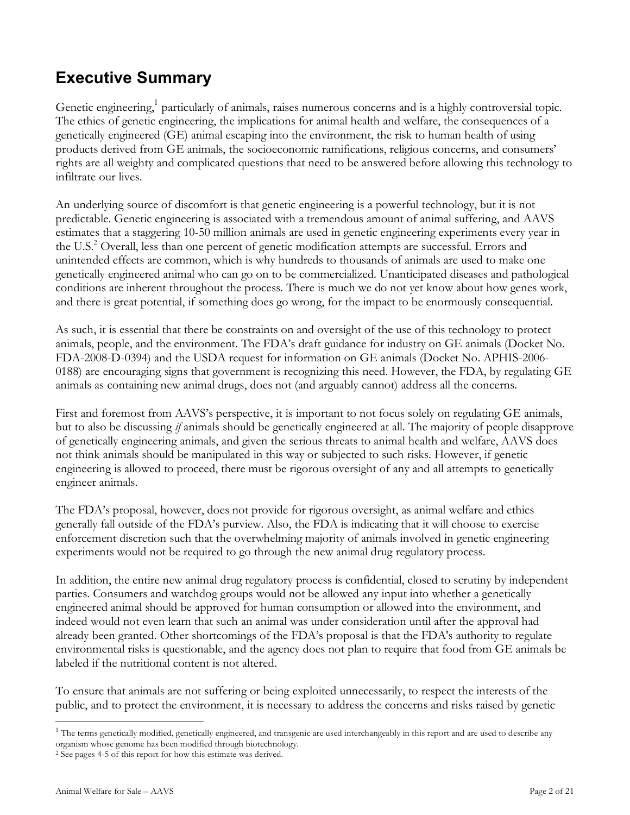# **Executive Summary**

Genetic engineering,<sup>1</sup> particularly of animals, raises numerous concerns and is a highly controversial topic. The ethics of genetic engineering, the implications for animal health and welfare, the consequences of a genetically engineered (GE) animal escaping into the environment, the risk to human health of using products derived from GE animals, the socioeconomic ramifications, religious concerns, and consumers' rights are all weighty and complicated questions that need to be answered before allowing this technology to infiltrate our lives.

An underlying source of discomfort is that genetic engineering is a powerful technology, but it is not predictable. Genetic engineering is associated with a tremendous amount of animal suffering, and AAVS estimates that a staggering 10-50 million animals are used in genetic engineering experiments every year in the U.S. <sup>2</sup> Overall, less than one percent of genetic modification attempts are successful. Errors and unintended effects are common, which is why hundreds to thousands of animals are used to make one genetically engineered animal who can go on to be commercialized. Unanticipated diseases and pathological conditions are inherent throughout the process. There is much we do not yet know about how genes work, and there is great potential, if something does go wrong, for the impact to be enormously consequential.

As such, it is essential that there be constraints on and oversight of the use of this technology to protect animals, people, and the environment. The FDA's draft guidance for industry on GE animals (Docket No. FDA-2008-D-0394) and the USDA request for information on GE animals (Docket No. APHIS-2006- 0188) are encouraging signs that government is recognizing this need. However, the FDA, by regulating GE animals as containing new animal drugs, does not (and arguably cannot) address all the concerns.

First and foremost from AAVS's perspective, it is important to not focus solely on regulating GE animals, but to also be discussing *if* animals should be genetically engineered at all. The majority of people disapprove of genetically engineering animals, and given the serious threats to animal health and welfare, AAVS does not think animals should be manipulated in this way or subjected to such risks. However, if genetic engineering is allowed to proceed, there must be rigorous oversight of any and all attempts to genetically engineer animals.

The FDA's proposal, however, does not provide for rigorous oversight, as animal welfare and ethics generally fall outside of the FDA's purview. Also, the FDA is indicating that it will choose to exercise enforcement discretion such that the overwhelming majority of animals involved in genetic engineering experiments would not be required to go through the new animal drug regulatory process.

In addition, the entire new animal drug regulatory process is confidential, closed to scrutiny by independent parties. Consumers and watchdog groups would not be allowed any input into whether a genetically engineered animal should be approved for human consumption or allowed into the environment, and indeed would not even learn that such an animal was under consideration until after the approval had already been granted. Other shortcomings of the FDA's proposal is that the FDA's authority to regulate environmental risks is questionable, and the agency does not plan to require that food from GE animals be labeled if the nutritional content is not altered.

To ensure that animals are not suffering or being exploited unnecessarily, to respect the interests of the public, and to protect the environment, it is necessary to address the concerns and risks raised by genetic

 $1$  The terms genetically modified, genetically engineered, and transgenic are used interchangeably in this report and are used to describe any organism whose genome has been modified through biotechnology.

<sup>2</sup> See pages 4-5 of this report for how this estimate was derived.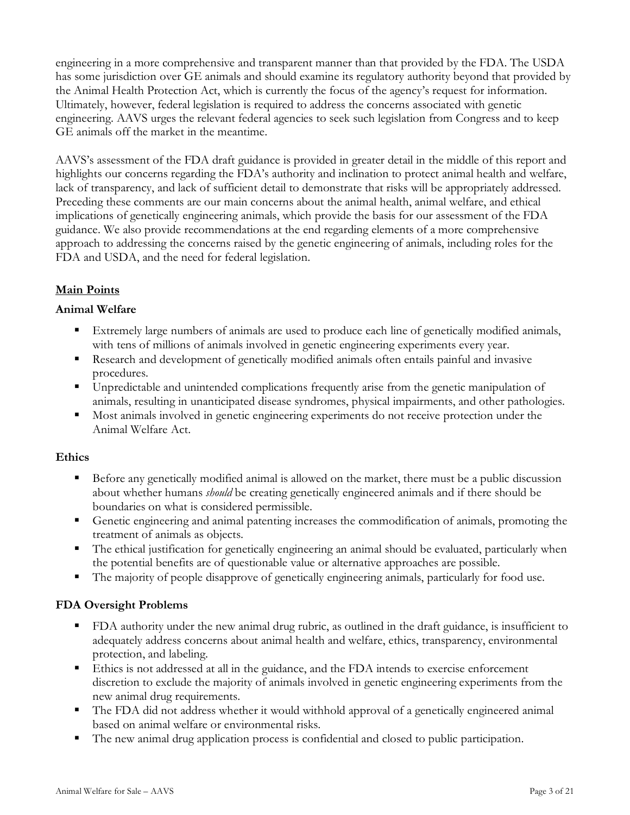engineering in a more comprehensive and transparent manner than that provided by the FDA. The USDA has some jurisdiction over GE animals and should examine its regulatory authority beyond that provided by the Animal Health Protection Act, which is currently the focus of the agency's request for information. Ultimately, however, federal legislation is required to address the concerns associated with genetic engineering. AAVS urges the relevant federal agencies to seek such legislation from Congress and to keep GE animals off the market in the meantime.

AAVS's assessment of the FDA draft guidance is provided in greater detail in the middle of this report and highlights our concerns regarding the FDA's authority and inclination to protect animal health and welfare, lack of transparency, and lack of sufficient detail to demonstrate that risks will be appropriately addressed. Preceding these comments are our main concerns about the animal health, animal welfare, and ethical implications of genetically engineering animals, which provide the basis for our assessment of the FDA guidance. We also provide recommendations at the end regarding elements of a more comprehensive approach to addressing the concerns raised by the genetic engineering of animals, including roles for the FDA and USDA, and the need for federal legislation.

# **Main Points**

### **Animal Welfare**

- Extremely large numbers of animals are used to produce each line of genetically modified animals, with tens of millions of animals involved in genetic engineering experiments every year.
- Research and development of genetically modified animals often entails painful and invasive procedures.
- Unpredictable and unintended complications frequently arise from the genetic manipulation of animals, resulting in unanticipated disease syndromes, physical impairments, and other pathologies.
- Most animals involved in genetic engineering experiments do not receive protection under the Animal Welfare Act.

#### **Ethics**

- Before any genetically modified animal is allowed on the market, there must be a public discussion about whether humans *should* be creating genetically engineered animals and if there should be boundaries on what is considered permissible.
- Genetic engineering and animal patenting increases the commodification of animals, promoting the treatment of animals as objects.
- The ethical justification for genetically engineering an animal should be evaluated, particularly when the potential benefits are of questionable value or alternative approaches are possible.
- The majority of people disapprove of genetically engineering animals, particularly for food use.

### **FDA Oversight Problems**

- FDA authority under the new animal drug rubric, as outlined in the draft guidance, is insufficient to adequately address concerns about animal health and welfare, ethics, transparency, environmental protection, and labeling.
- Ethics is not addressed at all in the guidance, and the FDA intends to exercise enforcement discretion to exclude the majority of animals involved in genetic engineering experiments from the new animal drug requirements.
- The FDA did not address whether it would withhold approval of a genetically engineered animal based on animal welfare or environmental risks.
- The new animal drug application process is confidential and closed to public participation.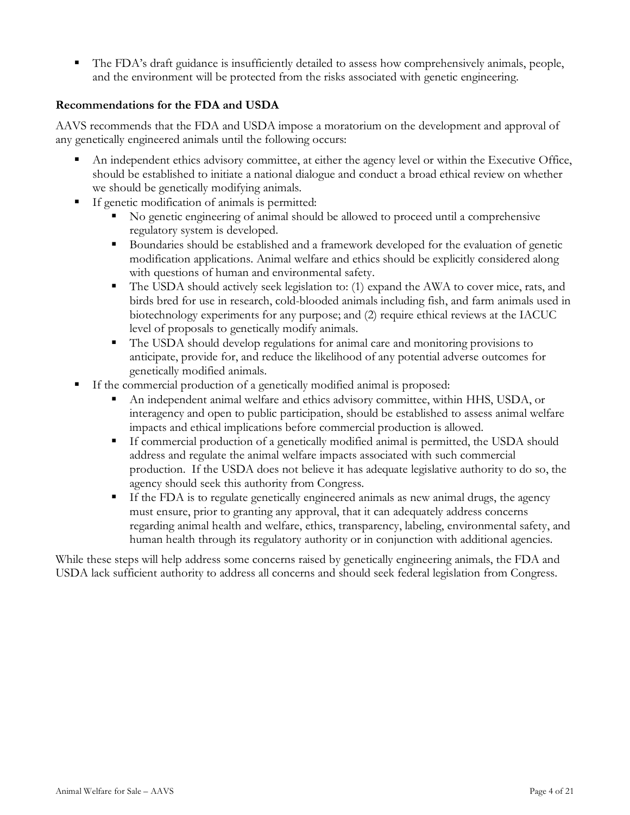The FDA's draft guidance is insufficiently detailed to assess how comprehensively animals, people, and the environment will be protected from the risks associated with genetic engineering.

## **Recommendations for the FDA and USDA**

AAVS recommends that the FDA and USDA impose a moratorium on the development and approval of any genetically engineered animals until the following occurs:

- An independent ethics advisory committee, at either the agency level or within the Executive Office, should be established to initiate a national dialogue and conduct a broad ethical review on whether we should be genetically modifying animals.
- If genetic modification of animals is permitted:
	- No genetic engineering of animal should be allowed to proceed until a comprehensive regulatory system is developed.
	- Boundaries should be established and a framework developed for the evaluation of genetic modification applications. Animal welfare and ethics should be explicitly considered along with questions of human and environmental safety.
	- The USDA should actively seek legislation to: (1) expand the AWA to cover mice, rats, and birds bred for use in research, cold-blooded animals including fish, and farm animals used in biotechnology experiments for any purpose; and (2) require ethical reviews at the IACUC level of proposals to genetically modify animals.
	- The USDA should develop regulations for animal care and monitoring provisions to anticipate, provide for, and reduce the likelihood of any potential adverse outcomes for genetically modified animals.
- If the commercial production of a genetically modified animal is proposed:
	- An independent animal welfare and ethics advisory committee, within HHS, USDA, or interagency and open to public participation, should be established to assess animal welfare impacts and ethical implications before commercial production is allowed.
	- If commercial production of a genetically modified animal is permitted, the USDA should address and regulate the animal welfare impacts associated with such commercial production. If the USDA does not believe it has adequate legislative authority to do so, the agency should seek this authority from Congress.
	- If the FDA is to regulate genetically engineered animals as new animal drugs, the agency must ensure, prior to granting any approval, that it can adequately address concerns regarding animal health and welfare, ethics, transparency, labeling, environmental safety, and human health through its regulatory authority or in conjunction with additional agencies.

While these steps will help address some concerns raised by genetically engineering animals, the FDA and USDA lack sufficient authority to address all concerns and should seek federal legislation from Congress.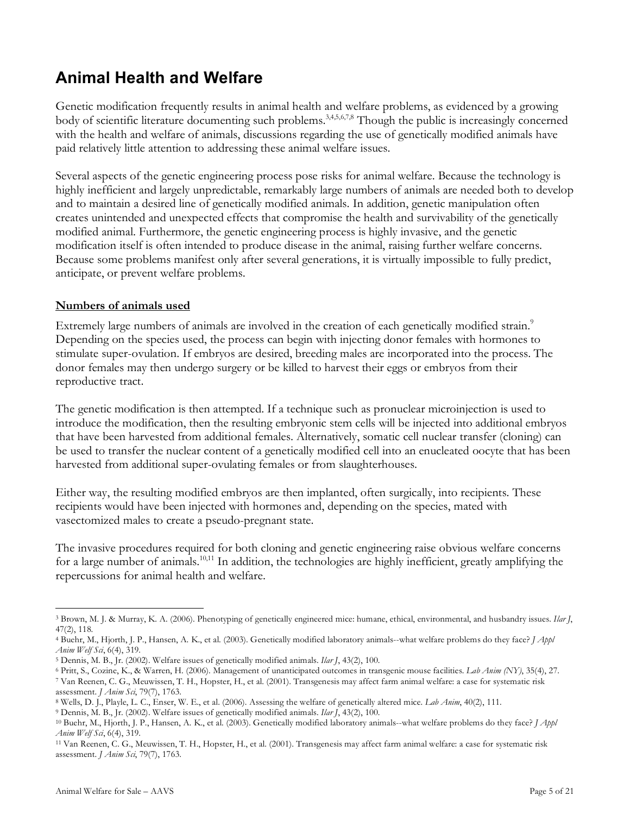# **Animal Health and Welfare**

Genetic modification frequently results in animal health and welfare problems, as evidenced by a growing body of scientific literature documenting such problems.<sup>3,4,5,6,7,8</sup> Though the public is increasingly concerned with the health and welfare of animals, discussions regarding the use of genetically modified animals have paid relatively little attention to addressing these animal welfare issues.

Several aspects of the genetic engineering process pose risks for animal welfare. Because the technology is highly inefficient and largely unpredictable, remarkably large numbers of animals are needed both to develop and to maintain a desired line of genetically modified animals. In addition, genetic manipulation often creates unintended and unexpected effects that compromise the health and survivability of the genetically modified animal. Furthermore, the genetic engineering process is highly invasive, and the genetic modification itself is often intended to produce disease in the animal, raising further welfare concerns. Because some problems manifest only after several generations, it is virtually impossible to fully predict, anticipate, or prevent welfare problems.

## **Numbers of animals used**

Extremely large numbers of animals are involved in the creation of each genetically modified strain.<sup>9</sup> Depending on the species used, the process can begin with injecting donor females with hormones to stimulate super-ovulation. If embryos are desired, breeding males are incorporated into the process. The donor females may then undergo surgery or be killed to harvest their eggs or embryos from their reproductive tract.

The genetic modification is then attempted. If a technique such as pronuclear microinjection is used to introduce the modification, then the resulting embryonic stem cells will be injected into additional embryos that have been harvested from additional females. Alternatively, somatic cell nuclear transfer (cloning) can be used to transfer the nuclear content of a genetically modified cell into an enucleated oocyte that has been harvested from additional super-ovulating females or from slaughterhouses.

Either way, the resulting modified embryos are then implanted, often surgically, into recipients. These recipients would have been injected with hormones and, depending on the species, mated with vasectomized males to create a pseudo-pregnant state.

The invasive procedures required for both cloning and genetic engineering raise obvious welfare concerns for a large number of animals.<sup>10,11</sup> In addition, the technologies are highly inefficient, greatly amplifying the repercussions for animal health and welfare.

 $\overline{a}$ <sup>3</sup> Brown, M. J. & Murray, K. A. (2006). Phenotyping of genetically engineered mice: humane, ethical, environmental, and husbandry issues. *Ilar J*, 47(2), 118.

<sup>4</sup> Buehr, M., Hjorth, J. P., Hansen, A. K., et al. (2003). Genetically modified laboratory animals--what welfare problems do they face? *J Appl Anim Welf Sci*, 6(4), 319.

<sup>5</sup> Dennis, M. B., Jr. (2002). Welfare issues of genetically modified animals. *Ilar J*, 43(2), 100.

<sup>6</sup> Pritt, S., Cozine, K., & Warren, H. (2006). Management of unanticipated outcomes in transgenic mouse facilities. *Lab Anim (NY)*, 35(4), 27.

<sup>7</sup> Van Reenen, C. G., Meuwissen, T. H., Hopster, H., et al. (2001). Transgenesis may affect farm animal welfare: a case for systematic risk assessment. *J Anim Sci*, 79(7), 1763.

<sup>8</sup> Wells, D. J., Playle, L. C., Enser, W. E., et al. (2006). Assessing the welfare of genetically altered mice. *Lab Anim*, 40(2), 111.

<sup>9</sup> Dennis, M. B., Jr. (2002). Welfare issues of genetically modified animals. *Ilar J*, 43(2), 100.

<sup>10</sup> Buehr, M., Hjorth, J. P., Hansen, A. K., et al. (2003). Genetically modified laboratory animals--what welfare problems do they face? *J Appl Anim Welf Sci*, 6(4), 319.

<sup>11</sup> Van Reenen, C. G., Meuwissen, T. H., Hopster, H., et al. (2001). Transgenesis may affect farm animal welfare: a case for systematic risk assessment. *J Anim Sci*, 79(7), 1763.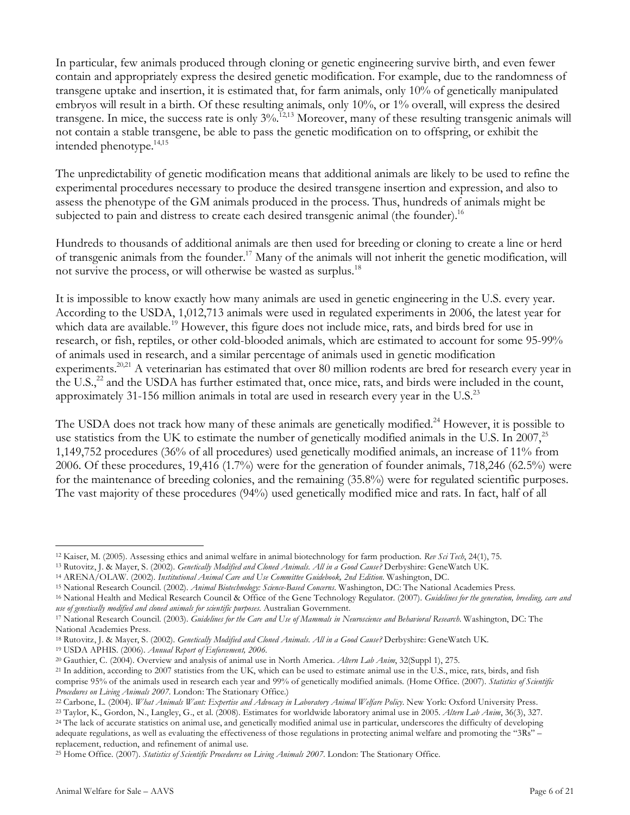In particular, few animals produced through cloning or genetic engineering survive birth, and even fewer contain and appropriately express the desired genetic modification. For example, due to the randomness of transgene uptake and insertion, it is estimated that, for farm animals, only 10% of genetically manipulated embryos will result in a birth. Of these resulting animals, only 10%, or 1% overall, will express the desired transgene. In mice, the success rate is only 3%.<sup>12,13</sup> Moreover, many of these resulting transgenic animals will not contain a stable transgene, be able to pass the genetic modification on to offspring, or exhibit the intended phenotype. 14,15

The unpredictability of genetic modification means that additional animals are likely to be used to refine the experimental procedures necessary to produce the desired transgene insertion and expression, and also to assess the phenotype of the GM animals produced in the process. Thus, hundreds of animals might be subjected to pain and distress to create each desired transgenic animal (the founder).<sup>16</sup>

Hundreds to thousands of additional animals are then used for breeding or cloning to create a line or herd of transgenic animals from the founder. <sup>17</sup> Many of the animals will not inherit the genetic modification, will not survive the process, or will otherwise be wasted as surplus.<sup>18</sup>

It is impossible to know exactly how many animals are used in genetic engineering in the U.S. every year. According to the USDA, 1,012,713 animals were used in regulated experiments in 2006, the latest year for which data are available.<sup>19</sup> However, this figure does not include mice, rats, and birds bred for use in research, or fish, reptiles, or other cold-blooded animals, which are estimated to account for some 95-99% of animals used in research, and a similar percentage of animals used in genetic modification experiments.<sup>20,21</sup> A veterinarian has estimated that over 80 million rodents are bred for research every year in the U.S.,<sup>22</sup> and the USDA has further estimated that, once mice, rats, and birds were included in the count, approximately 31-156 million animals in total are used in research every year in the U.S.<sup>23</sup>

The USDA does not track how many of these animals are genetically modified.<sup>24</sup> However, it is possible to use statistics from the UK to estimate the number of genetically modified animals in the U.S. In 2007,<sup>25</sup> 1,149,752 procedures (36% of all procedures) used genetically modified animals, an increase of 11% from 2006. Of these procedures, 19,416 (1.7%) were for the generation of founder animals, 718,246 (62.5%) were for the maintenance of breeding colonies, and the remaining (35.8%) were for regulated scientific purposes. The vast majority of these procedures (94%) used genetically modified mice and rats. In fact, half of all

 $\overline{a}$ <sup>12</sup> Kaiser, M. (2005). Assessing ethics and animal welfare in animal biotechnology for farm production. *Rev Sci Tech*, 24(1), 75.

<sup>13</sup> Rutovitz, J. & Mayer, S. (2002). *Genetically Modified and Cloned Animals. All in a Good Cause?* Derbyshire: GeneWatch UK.

<sup>14</sup> ARENA/OLAW. (2002). *Institutional Animal Care and Use Committee Guidebook, 2nd Edition*. Washington, DC.

<sup>15</sup> National Research Council. (2002). *Animal Biotechnology: Science-Based Concerns*. Washington, DC: The National Academies Press.

<sup>16</sup> National Health and Medical Research Council & Office of the Gene Technology Regulator. (2007). *Guidelines for the generation, breeding, care and use of genetically modified and cloned animals for scientific purposes.* Australian Government.

<sup>&</sup>lt;sup>17</sup> National Research Council. (2003). Guidelines for the Care and Use of Mammals in Neuroscience and Behavioral Research. Washington, DC: The National Academies Press.

<sup>18</sup> Rutovitz, J. & Mayer, S. (2002). *Genetically Modified and Cloned Animals. All in a Good Cause?* Derbyshire: GeneWatch UK.

<sup>19</sup> USDA APHIS. (2006). *Annual Report of Enforcement, 2006.*

<sup>20</sup> Gauthier, C. (2004). Overview and analysis of animal use in North America. *Altern Lab Anim*, 32(Suppl 1), 275.

<sup>21</sup> In addition, according to 2007 statistics from the UK, which can be used to estimate animal use in the U.S., mice, rats, birds, and fish comprise 95% of the animals used in research each year and 99% of genetically modified animals. (Home Office. (2007). *Statistics of Scientific Procedures on Living Animals 2007*. London: The Stationary Office.)

<sup>22</sup> Carbone, L. (2004). *What Animals Want: Expertise and Advocacy in Laboratory Animal Welfare Policy*. New York: Oxford University Press.

<sup>23</sup> Taylor, K., Gordon, N., Langley, G., et al. (2008). Estimates for worldwide laboratory animal use in 2005. *Altern Lab Anim*, 36(3), 327.

<sup>24</sup> The lack of accurate statistics on animal use, and genetically modified animal use in particular, underscores the difficulty of developing adequate regulations, as well as evaluating the effectiveness of those regulations in protecting animal welfare and promoting the "3Rs" –

replacement, reduction, and refinement of animal use.

<sup>25</sup> Home Office. (2007). *Statistics of Scientific Procedures on Living Animals 2007*. London: The Stationary Office.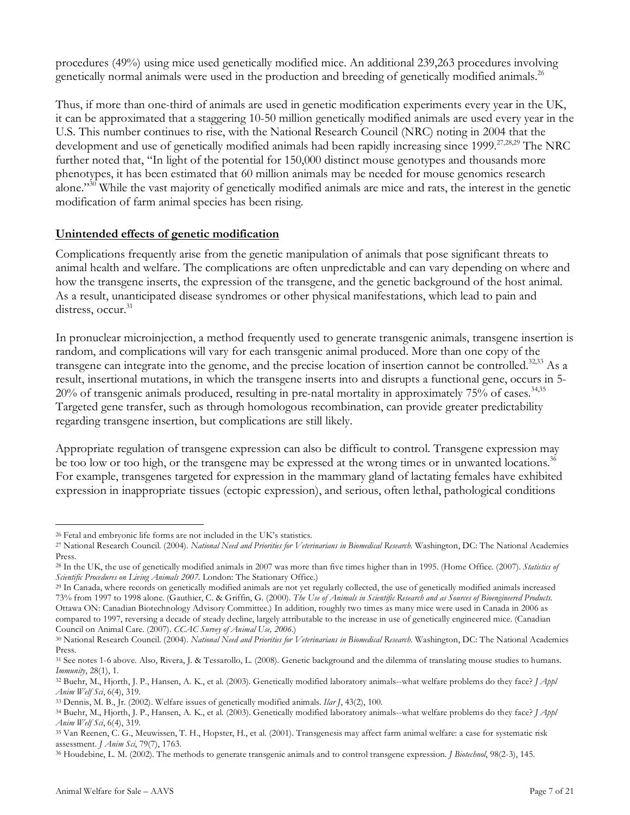procedures (49%) using mice used genetically modified mice. An additional 239,263 procedures involving genetically normal animals were used in the production and breeding of genetically modified animals.<sup>26</sup>

Thus, if more than one-third of animals are used in genetic modification experiments every year in the UK, it can be approximated that a staggering 10-50 million genetically modified animals are used every year in the U.S. This number continues to rise, with the National Research Council (NRC) noting in 2004 that the development and use of genetically modified animals had been rapidly increasing since 1999.<sup>27,28,29</sup> The NRC further noted that, "In light of the potential for 150,000 distinct mouse genotypes and thousands more phenotypes, it has been estimated that 60 million animals may be needed for mouse genomics research alone."<sup>30</sup> While the vast majority of genetically modified animals are mice and rats, the interest in the genetic modification of farm animal species has been rising.

## **Unintended effects of genetic modification**

Complications frequently arise from the genetic manipulation of animals that pose significant threats to animal health and welfare. The complications are often unpredictable and can vary depending on where and how the transgene inserts, the expression of the transgene, and the genetic background of the host animal. As a result, unanticipated disease syndromes or other physical manifestations, which lead to pain and distress, occur. 31

In pronuclear microinjection, a method frequently used to generate transgenic animals, transgene insertion is random, and complications will vary for each transgenic animal produced. More than one copy of the transgene can integrate into the genome, and the precise location of insertion cannot be controlled.<sup>32,33</sup> As a result, insertional mutations, in which the transgene inserts into and disrupts a functional gene, occurs in 5- 20% of transgenic animals produced, resulting in pre-natal mortality in approximately 75% of cases. 34,35 Targeted gene transfer, such as through homologous recombination, can provide greater predictability regarding transgene insertion, but complications are still likely.

Appropriate regulation of transgene expression can also be difficult to control. Transgene expression may be too low or too high, or the transgene may be expressed at the wrong times or in unwanted locations.<sup>36</sup> For example, transgenes targeted for expression in the mammary gland of lactating females have exhibited expression in inappropriate tissues (ectopic expression), and serious, often lethal, pathological conditions

<sup>26</sup> Fetal and embryonic life forms are not included in the UK's statistics.

<sup>27</sup> National Research Council. (2004). *National Need and Priorities for Veterinarians in Biomedical Research*. Washington, DC: The National Academies Press.

<sup>28</sup> In the UK, the use of genetically modified animals in 2007 was more than five times higher than in 1995. (Home Office. (2007). *Statistics of Scientific Procedures on Living Animals 2007*. London: The Stationary Office.)

<sup>29</sup> In Canada, where records on genetically modified animals are not yet regularly collected, the use of genetically modified animals increased 73% from 1997 to 1998 alone. (Gauthier, C. & Griffin, G. (2000). The Use of Animals in Scientific Research and as Sources of Bioengineered Products. Ottawa ON: Canadian Biotechnology Advisory Committee.) In addition, roughly two times as many mice were used in Canada in 2006 as compared to 1997, reversing a decade of steady decline, largely attributable to the increase in use of genetically engineered mice. (Canadian Council on Animal Care. (2007). *CCAC Survey of Animal Use, 2006*.)

<sup>30</sup> National Research Council. (2004). *National Need and Priorities for Veterinarians in Biomedical Research*. Washington, DC: The National Academies Press.

<sup>31</sup> See notes 1-6 above. Also, Rivera, J. & Tessarollo, L. (2008). Genetic background and the dilemma of translating mouse studies to humans. *Immunity*, 28(1), 1.

<sup>32</sup> Buehr, M., Hjorth, J. P., Hansen, A. K., et al. (2003). Genetically modified laboratory animals--what welfare problems do they face? *J Appl Anim Welf Sci*, 6(4), 319.

<sup>33</sup> Dennis, M. B., Jr. (2002). Welfare issues of genetically modified animals. *Ilar J*, 43(2), 100.

<sup>34</sup> Buehr, M., Hjorth, J. P., Hansen, A. K., et al. (2003). Genetically modified laboratory animals--what welfare problems do they face? *J Appl Anim Welf Sci*, 6(4), 319.

<sup>35</sup> Van Reenen, C. G., Meuwissen, T. H., Hopster, H., et al. (2001). Transgenesis may affect farm animal welfare: a case for systematic risk assessment. *J Anim Sci*, 79(7), 1763.

<sup>36</sup> Houdebine, L. M. (2002). The methods to generate transgenic animals and to control transgene expression. *J Biotechnol*, 98(2-3), 145.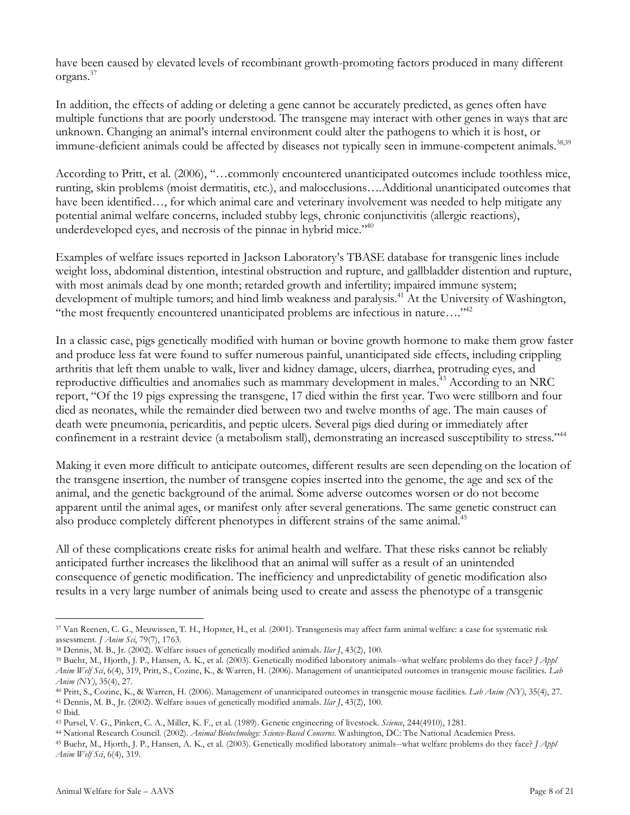have been caused by elevated levels of recombinant growth-promoting factors produced in many different organs. 37

In addition, the effects of adding or deleting a gene cannot be accurately predicted, as genes often have multiple functions that are poorly understood. The transgene may interact with other genes in ways that are unknown. Changing an animal's internal environment could alter the pathogens to which it is host, or immune-deficient animals could be affected by diseases not typically seen in immune-competent animals.<sup>38,39</sup>

According to Pritt, et al. (2006), "…commonly encountered unanticipated outcomes include toothless mice, runting, skin problems (moist dermatitis, etc.), and malocclusions….Additional unanticipated outcomes that have been identified…, for which animal care and veterinary involvement was needed to help mitigate any potential animal welfare concerns, included stubby legs, chronic conjunctivitis (allergic reactions), underdeveloped eyes, and necrosis of the pinnae in hybrid mice."<sup>40</sup>

Examples of welfare issues reported in Jackson Laboratory's TBASE database for transgenic lines include weight loss, abdominal distention, intestinal obstruction and rupture, and gallbladder distention and rupture, with most animals dead by one month; retarded growth and infertility; impaired immune system; development of multiple tumors; and hind limb weakness and paralysis.<sup>41</sup> At the University of Washington, "the most frequently encountered unanticipated problems are infectious in nature…."42

In a classic case, pigs genetically modified with human or bovine growth hormone to make them grow faster and produce less fat were found to suffer numerous painful, unanticipated side effects, including crippling arthritis that left them unable to walk, liver and kidney damage, ulcers, diarrhea, protruding eyes, and reproductive difficulties and anomalies such as mammary development in males. <sup>43</sup> According to an NRC report, "Of the 19 pigs expressing the transgene, 17 died within the first year. Two were stillborn and four died as neonates, while the remainder died between two and twelve months of age. The main causes of death were pneumonia, pericarditis, and peptic ulcers. Several pigs died during or immediately after confinement in a restraint device (a metabolism stall), demonstrating an increased susceptibility to stress."<sup>44</sup>

Making it even more difficult to anticipate outcomes, different results are seen depending on the location of the transgene insertion, the number of transgene copies inserted into the genome, the age and sex of the animal, and the genetic background of the animal. Some adverse outcomes worsen or do not become apparent until the animal ages, or manifest only after several generations. The same genetic construct can also produce completely different phenotypes in different strains of the same animal.<sup>45</sup>

All of these complications create risks for animal health and welfare. That these risks cannot be reliably anticipated further increases the likelihood that an animal will suffer as a result of an unintended consequence of genetic modification. The inefficiency and unpredictability of genetic modification also results in a very large number of animals being used to create and assess the phenotype of a transgenic

<sup>37</sup> Van Reenen, C. G., Meuwissen, T. H., Hopster, H., et al. (2001). Transgenesis may affect farm animal welfare: a case for systematic risk assessment. *J Anim Sci*, 79(7), 1763.

<sup>38</sup> Dennis, M. B., Jr. (2002). Welfare issues of genetically modified animals. *Ilar J*, 43(2), 100.

<sup>39</sup> Buehr, M., Hjorth, J. P., Hansen, A. K., et al. (2003). Genetically modified laboratory animals--what welfare problems do they face? *J Appl Anim Welf Sci*, 6(4), 319, Pritt, S., Cozine, K., & Warren, H. (2006). Management of unanticipated outcomes in transgenic mouse facilities. *Lab Anim (NY)*, 35(4), 27.

<sup>40</sup> Pritt, S., Cozine, K., & Warren, H. (2006). Management of unanticipated outcomes in transgenic mouse facilities. *Lab Anim (NY)*, 35(4), 27.

<sup>41</sup> Dennis, M. B., Jr. (2002). Welfare issues of genetically modified animals. *Ilar J*, 43(2), 100.

<sup>42</sup> Ibid.

<sup>43</sup> Pursel, V. G., Pinkert, C. A., Miller, K. F., et al. (1989). Genetic engineering of livestock. *Science*, 244(4910), 1281.

<sup>44</sup> National Research Council. (2002). *Animal Biotechnology: Science-Based Concerns*. Washington, DC: The National Academies Press.

<sup>45</sup> Buehr, M., Hjorth, J. P., Hansen, A. K., et al. (2003). Genetically modified laboratory animals--what welfare problems do they face? *J Appl Anim Welf Sci*, 6(4), 319.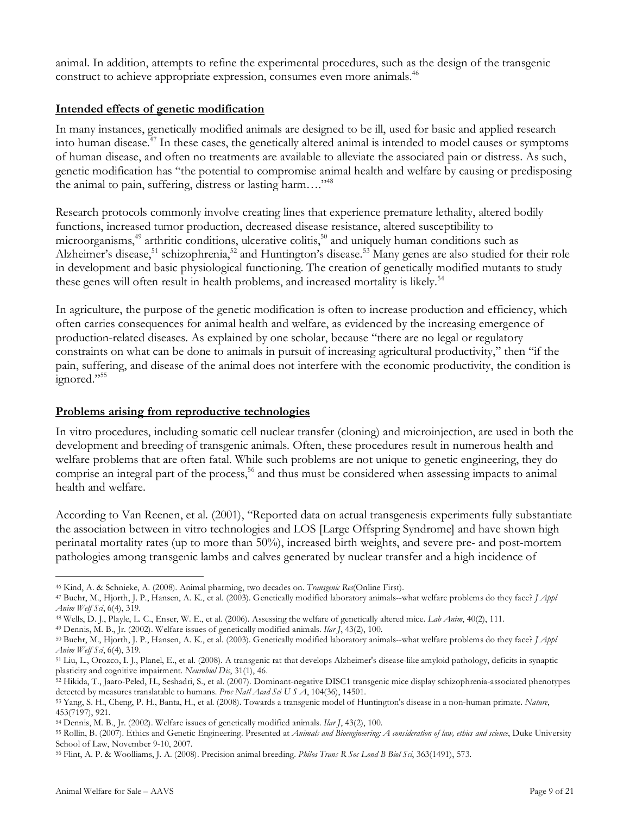animal. In addition, attempts to refine the experimental procedures, such as the design of the transgenic construct to achieve appropriate expression, consumes even more animals. 46

## **Intended effects of genetic modification**

In many instances, genetically modified animals are designed to be ill, used for basic and applied research into human disease. <sup>47</sup> In these cases, the genetically altered animal is intended to model causes or symptoms of human disease, and often no treatments are available to alleviate the associated pain or distress. As such, genetic modification has "the potential to compromise animal health and welfare by causing or predisposing the animal to pain, suffering, distress or lasting harm...."<sup>48</sup>

Research protocols commonly involve creating lines that experience premature lethality, altered bodily functions, increased tumor production, decreased disease resistance, altered susceptibility to microorganisms, 49 arthritic conditions, ulcerative colitis, 50 and uniquely human conditions such as Alzheimer's disease,<sup>51</sup> schizophrenia,<sup>52</sup> and Huntington's disease.<sup>53</sup> Many genes are also studied for their role in development and basic physiological functioning. The creation of genetically modified mutants to study these genes will often result in health problems, and increased mortality is likely.<sup>54</sup>

In agriculture, the purpose of the genetic modification is often to increase production and efficiency, which often carries consequences for animal health and welfare, as evidenced by the increasing emergence of production-related diseases. As explained by one scholar, because "there are no legal or regulatory constraints on what can be done to animals in pursuit of increasing agricultural productivity," then "if the pain, suffering, and disease of the animal does not interfere with the economic productivity, the condition is ignored."<sup>55</sup>

### **Problems arising from reproductive technologies**

In vitro procedures, including somatic cell nuclear transfer (cloning) and microinjection, are used in both the development and breeding of transgenic animals. Often, these procedures result in numerous health and welfare problems that are often fatal. While such problems are not unique to genetic engineering, they do comprise an integral part of the process, 56 and thus must be considered when assessing impacts to animal health and welfare.

According to Van Reenen, et al. (2001), "Reported data on actual transgenesis experiments fully substantiate the association between in vitro technologies and LOS [Large Offspring Syndrome] and have shown high perinatal mortality rates (up to more than 50%), increased birth weights, and severe pre- and post-mortem pathologies among transgenic lambs and calves generated by nuclear transfer and a high incidence of

<sup>49</sup> Dennis, M. B., Jr. (2002). Welfare issues of genetically modified animals. *Ilar J*, 43(2), 100.

<sup>46</sup> Kind, A. & Schnieke, A. (2008). Animal pharming, two decades on. *Transgenic Res*(Online First).

<sup>47</sup> Buehr, M., Hjorth, J. P., Hansen, A. K., et al. (2003). Genetically modified laboratory animals--what welfare problems do they face? *J Appl Anim Welf Sci*, 6(4), 319.

<sup>48</sup> Wells, D. J., Playle, L. C., Enser, W. E., et al. (2006). Assessing the welfare of genetically altered mice. *Lab Anim*, 40(2), 111.

<sup>50</sup> Buehr, M., Hjorth, J. P., Hansen, A. K., et al. (2003). Genetically modified laboratory animals--what welfare problems do they face? *J Appl Anim Welf Sci*, 6(4), 319.

<sup>51</sup> Liu, L., Orozco, I. J., Planel, E., et al. (2008). A transgenic rat that develops Alzheimer's disease-like amyloid pathology, deficits in synaptic plasticity and cognitive impairment. *Neurobiol Dis*, 31(1), 46.

<sup>52</sup> Hikida, T., Jaaro-Peled, H., Seshadri, S., et al. (2007). Dominant-negative DISC1 transgenic mice display schizophrenia-associated phenotypes detected by measures translatable to humans. *Proc Natl Acad Sci U S A*, 104(36), 14501.

<sup>53</sup> Yang, S. H., Cheng, P. H., Banta, H., et al. (2008). Towards a transgenic model of Huntington's disease in a non-human primate. *Nature*, 453(7197), 921.

<sup>54</sup> Dennis, M. B., Jr. (2002). Welfare issues of genetically modified animals. *Ilar J*, 43(2), 100.

<sup>55</sup> Rollin, B. (2007). Ethics and Genetic Engineering. Presented at *Animals and Bioengineering: A consideration of law, ethics and science*, Duke University School of Law, November 9-10, 2007.

<sup>56</sup> Flint, A. P. & Woolliams, J. A. (2008). Precision animal breeding. *Philos Trans R Soc Lond B Biol Sci*, 363(1491), 573.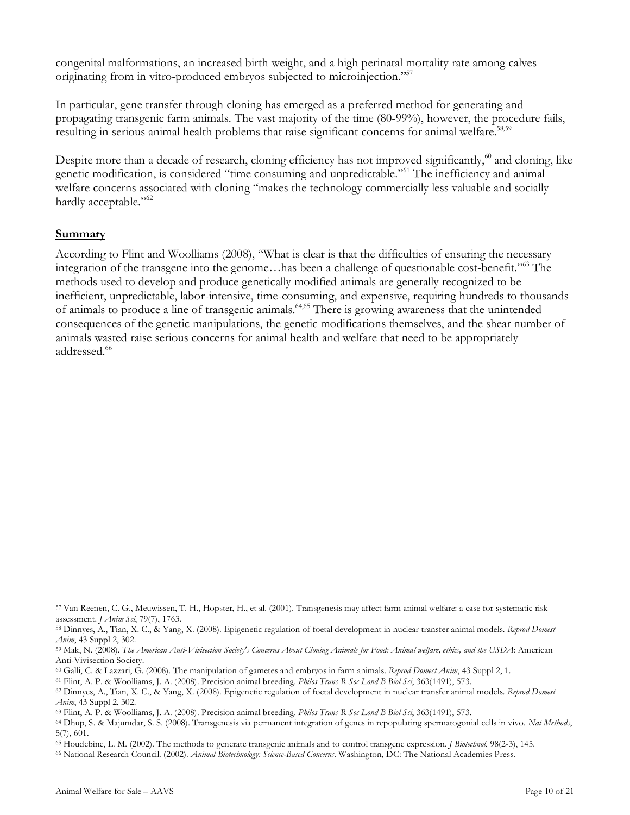congenital malformations, an increased birth weight, and a high perinatal mortality rate among calves originating from in vitro-produced embryos subjected to microinjection."57

In particular, gene transfer through cloning has emerged as a preferred method for generating and propagating transgenic farm animals. The vast majority of the time (80-99%), however, the procedure fails, resulting in serious animal health problems that raise significant concerns for animal welfare.<sup>58,59</sup>

Despite more than a decade of research, cloning efficiency has not improved significantly,<sup>60</sup> and cloning, like genetic modification, is considered "time consuming and unpredictable."61 The inefficiency and animal welfare concerns associated with cloning "makes the technology commercially less valuable and socially hardly acceptable."<sup>62</sup>

#### **Summary**

According to Flint and Woolliams (2008), "What is clear is that the difficulties of ensuring the necessary integration of the transgene into the genome…has been a challenge of questionable cost-benefit."63 The methods used to develop and produce genetically modified animals are generally recognized to be inefficient, unpredictable, labor-intensive, time-consuming, and expensive, requiring hundreds to thousands of animals to produce a line of transgenic animals.<sup>64,65</sup> There is growing awareness that the unintended consequences of the genetic manipulations, the genetic modifications themselves, and the shear number of animals wasted raise serious concerns for animal health and welfare that need to be appropriately addressed.<sup>66</sup>

 $\overline{a}$ <sup>57</sup> Van Reenen, C. G., Meuwissen, T. H., Hopster, H., et al. (2001). Transgenesis may affect farm animal welfare: a case for systematic risk assessment. *J Anim Sci*, 79(7), 1763.

<sup>58</sup> Dinnyes, A., Tian, X. C., & Yang, X. (2008). Epigenetic regulation of foetal development in nuclear transfer animal models. *Reprod Domest Anim*, 43 Suppl 2, 302.

<sup>&</sup>lt;sup>59</sup> Mak, N. (2008). The American Anti-Vivisection Society's Concerns About Cloning Animals for Food: Animal welfare, ethics, and the USDA: American Anti-Vivisection Society.

<sup>60</sup> Galli, C. & Lazzari, G. (2008). The manipulation of gametes and embryos in farm animals. *Reprod Domest Anim*, 43 Suppl 2, 1.

<sup>61</sup> Flint, A. P. & Woolliams, J. A. (2008). Precision animal breeding. *Philos Trans R Soc Lond B Biol Sci*, 363(1491), 573.

<sup>62</sup> Dinnyes, A., Tian, X. C., & Yang, X. (2008). Epigenetic regulation of foetal development in nuclear transfer animal models. *Reprod Domest Anim*, 43 Suppl 2, 302.

<sup>63</sup> Flint, A. P. & Woolliams, J. A. (2008). Precision animal breeding. *Philos Trans R Soc Lond B Biol Sci*, 363(1491), 573.

<sup>64</sup> Dhup, S. & Majumdar, S. S. (2008). Transgenesis via permanent integration of genes in repopulating spermatogonial cells in vivo. *Nat Methods*, 5(7), 601.

<sup>65</sup> Houdebine, L. M. (2002). The methods to generate transgenic animals and to control transgene expression. *J Biotechnol*, 98(2-3), 145.

<sup>66</sup> National Research Council. (2002). *Animal Biotechnology: Science-Based Concerns*. Washington, DC: The National Academies Press.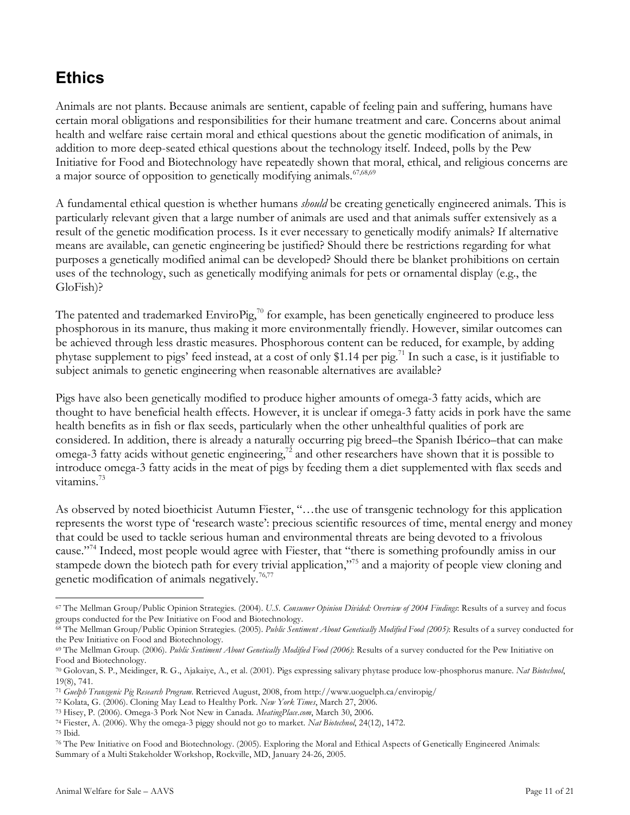# **Ethics**

Animals are not plants. Because animals are sentient, capable of feeling pain and suffering, humans have certain moral obligations and responsibilities for their humane treatment and care. Concerns about animal health and welfare raise certain moral and ethical questions about the genetic modification of animals, in addition to more deep-seated ethical questions about the technology itself. Indeed, polls by the Pew Initiative for Food and Biotechnology have repeatedly shown that moral, ethical, and religious concerns are a major source of opposition to genetically modifying animals. <sup>67,68,69</sup>

A fundamental ethical question is whether humans *should* be creating genetically engineered animals. This is particularly relevant given that a large number of animals are used and that animals suffer extensively as a result of the genetic modification process. Is it ever necessary to genetically modify animals? If alternative means are available, can genetic engineering be justified? Should there be restrictions regarding for what purposes a genetically modified animal can be developed? Should there be blanket prohibitions on certain uses of the technology, such as genetically modifying animals for pets or ornamental display (e.g., the GloFish)?

The patented and trademarked EnviroPig, $^{70}$  for example, has been genetically engineered to produce less phosphorous in its manure, thus making it more environmentally friendly. However, similar outcomes can be achieved through less drastic measures. Phosphorous content can be reduced, for example, by adding phytase supplement to pigs' feed instead, at a cost of only \$1.14 per pig. <sup>71</sup> In such a case, is it justifiable to subject animals to genetic engineering when reasonable alternatives are available?

Pigs have also been genetically modified to produce higher amounts of omega-3 fatty acids, which are thought to have beneficial health effects. However, it is unclear if omega-3 fatty acids in pork have the same health benefits as in fish or flax seeds, particularly when the other unhealthful qualities of pork are considered. In addition, there is already a naturally occurring pig breed–the Spanish Ibérico–that can make omega-3 fatty acids without genetic engineering, $^{72}$  and other researchers have shown that it is possible to introduce omega-3 fatty acids in the meat of pigs by feeding them a diet supplemented with flax seeds and vitamins. 73

As observed by noted bioethicist Autumn Fiester, "…the use of transgenic technology for this application represents the worst type of 'research waste': precious scientific resources of time, mental energy and money that could be used to tackle serious human and environmental threats are being devoted to a frivolous cause."74 Indeed, most people would agree with Fiester, that "there is something profoundly amiss in our stampede down the biotech path for every trivial application,"<sup>75</sup> and a majority of people view cloning and genetic modification of animals negatively.<sup>76,77</sup>

<sup>74</sup> Fiester, A. (2006). Why the omega-3 piggy should not go to market. *Nat Biotechnol*, 24(12), 1472.

 $\overline{a}$ <sup>67</sup> The Mellman Group/Public Opinion Strategies. (2004). *U.S. Consumer Opinion Divided: Overview of 2004 Findings*: Results of a survey and focus groups conducted for the Pew Initiative on Food and Biotechnology.

<sup>68</sup> The Mellman Group/Public Opinion Strategies. (2005). *Public Sentiment About Genetically Modified Food (2005)*: Results of a survey conducted for the Pew Initiative on Food and Biotechnology.

<sup>69</sup> The Mellman Group. (2006). *Public Sentiment About Genetically Modified Food (2006)*: Results of a survey conducted for the Pew Initiative on Food and Biotechnology.

<sup>70</sup> Golovan, S. P., Meidinger, R. G., Ajakaiye, A., et al. (2001). Pigs expressing salivary phytase produce low-phosphorus manure. *Nat Biotechnol*, 19(8), 741.

<sup>71</sup> *Guelph Transgenic Pig Research Program*. Retrieved August, 2008, from http://www.uoguelph.ca/enviropig/

<sup>72</sup> Kolata, G. (2006). Cloning May Lead to Healthy Pork. *New York Times*, March 27, 2006.

<sup>73</sup> Hisey, P. (2006). Omega-3 Pork Not New in Canada. *MeatingPlace.com*, March 30, 2006.

<sup>75</sup> Ibid.

<sup>76</sup> The Pew Initiative on Food and Biotechnology. (2005). Exploring the Moral and Ethical Aspects of Genetically Engineered Animals: Summary of a Multi Stakeholder Workshop, Rockville, MD, January 24-26, 2005.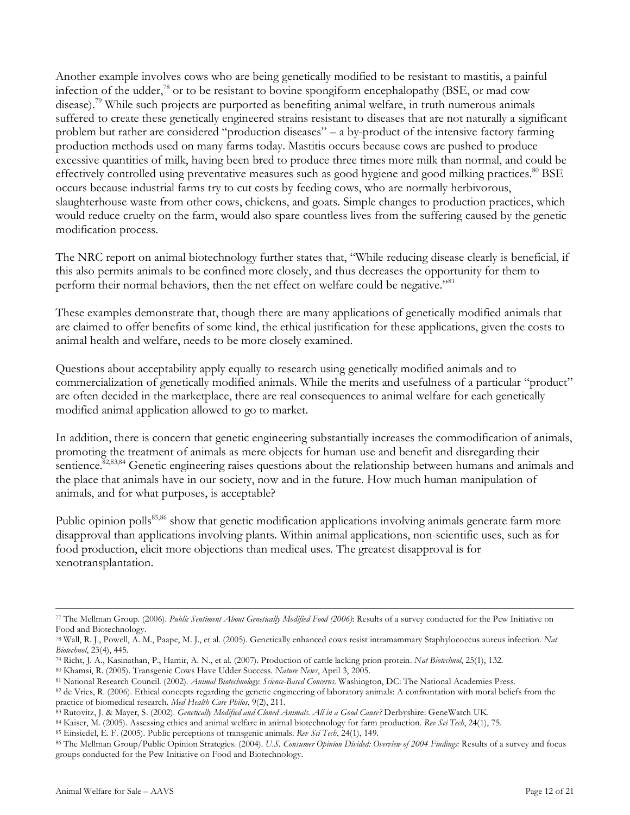Another example involves cows who are being genetically modified to be resistant to mastitis, a painful infection of the udder,<sup>78</sup> or to be resistant to bovine spongiform encephalopathy (BSE, or mad cow disease). <sup>79</sup> While such projects are purported as benefiting animal welfare, in truth numerous animals suffered to create these genetically engineered strains resistant to diseases that are not naturally a significant problem but rather are considered "production diseases" – a by-product of the intensive factory farming production methods used on many farms today. Mastitis occurs because cows are pushed to produce excessive quantities of milk, having been bred to produce three times more milk than normal, and could be effectively controlled using preventative measures such as good hygiene and good milking practices.<sup>80</sup> BSE occurs because industrial farms try to cut costs by feeding cows, who are normally herbivorous, slaughterhouse waste from other cows, chickens, and goats. Simple changes to production practices, which would reduce cruelty on the farm, would also spare countless lives from the suffering caused by the genetic modification process.

The NRC report on animal biotechnology further states that, "While reducing disease clearly is beneficial, if this also permits animals to be confined more closely, and thus decreases the opportunity for them to perform their normal behaviors, then the net effect on welfare could be negative."<sup>81</sup>

These examples demonstrate that, though there are many applications of genetically modified animals that are claimed to offer benefits of some kind, the ethical justification for these applications, given the costs to animal health and welfare, needs to be more closely examined.

Questions about acceptability apply equally to research using genetically modified animals and to commercialization of genetically modified animals. While the merits and usefulness of a particular "product" are often decided in the marketplace, there are real consequences to animal welfare for each genetically modified animal application allowed to go to market.

In addition, there is concern that genetic engineering substantially increases the commodification of animals, promoting the treatment of animals as mere objects for human use and benefit and disregarding their sentience.<sup>82,83,84</sup> Genetic engineering raises questions about the relationship between humans and animals and the place that animals have in our society, now and in the future. How much human manipulation of animals, and for what purposes, is acceptable?

Public opinion polls<sup>85,86</sup> show that genetic modification applications involving animals generate farm more disapproval than applications involving plants. Within animal applications, non-scientific uses, such as for food production, elicit more objections than medical uses. The greatest disapproval is for xenotransplantation.

 $\overline{a}$ <sup>77</sup> The Mellman Group. (2006). *Public Sentiment About Genetically Modified Food (2006)*: Results of a survey conducted for the Pew Initiative on Food and Biotechnology.

<sup>78</sup> Wall, R. J., Powell, A. M., Paape, M. J., et al. (2005). Genetically enhanced cows resist intramammary Staphylococcus aureus infection. *Nat Biotechnol*, 23(4), 445.

<sup>79</sup> Richt, J. A., Kasinathan, P., Hamir, A. N., et al. (2007). Production of cattle lacking prion protein. *Nat Biotechnol*, 25(1), 132.

<sup>80</sup> Khamsi, R. (2005). Transgenic Cows Have Udder Success. *Nature News*, April 3, 2005.

<sup>81</sup> National Research Council. (2002). *Animal Biotechnology: Science-Based Concerns*. Washington, DC: The National Academies Press.

<sup>82</sup> de Vries, R. (2006). Ethical concepts regarding the genetic engineering of laboratory animals: A confrontation with moral beliefs from the practice of biomedical research. *Med Health Care Philos*, 9(2), 211.

<sup>83</sup> Rutovitz, J. & Mayer, S. (2002). *Genetically Modified and Cloned Animals. All in a Good Cause?* Derbyshire: GeneWatch UK.

<sup>84</sup> Kaiser, M. (2005). Assessing ethics and animal welfare in animal biotechnology for farm production. *Rev Sci Tech*, 24(1), 75.

<sup>85</sup> Einsiedel, E. F. (2005). Public perceptions of transgenic animals. *Rev Sci Tech*, 24(1), 149.

<sup>86</sup> The Mellman Group/Public Opinion Strategies. (2004). *U.S. Consumer Opinion Divided: Overview of 2004 Findings*: Results of a survey and focus groups conducted for the Pew Initiative on Food and Biotechnology.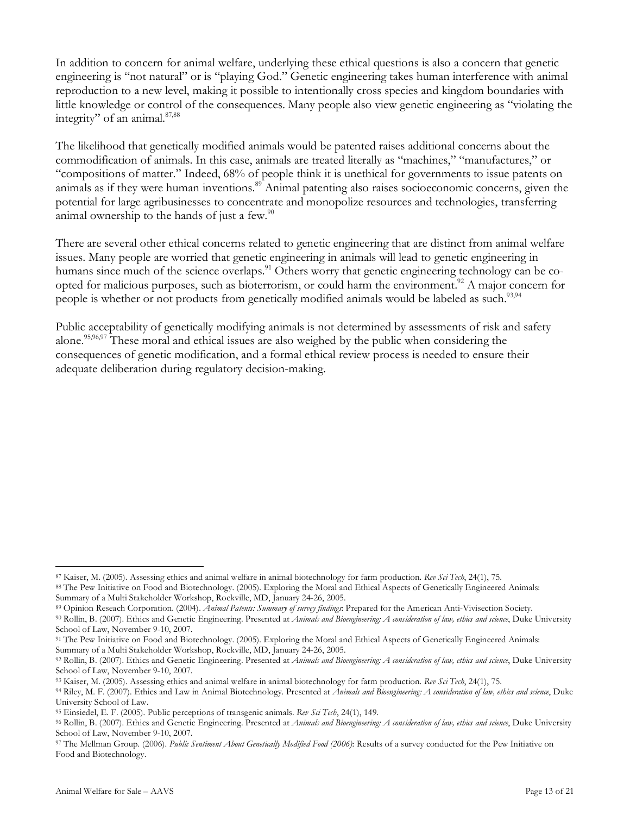In addition to concern for animal welfare, underlying these ethical questions is also a concern that genetic engineering is "not natural" or is "playing God." Genetic engineering takes human interference with animal reproduction to a new level, making it possible to intentionally cross species and kingdom boundaries with little knowledge or control of the consequences. Many people also view genetic engineering as "violating the integrity" of an animal.<sup>87,88</sup>

The likelihood that genetically modified animals would be patented raises additional concerns about the commodification of animals. In this case, animals are treated literally as "machines," "manufactures," or "compositions of matter." Indeed, 68% of people think it is unethical for governments to issue patents on animals as if they were human inventions. <sup>89</sup> Animal patenting also raises socioeconomic concerns, given the potential for large agribusinesses to concentrate and monopolize resources and technologies, transferring animal ownership to the hands of just a few. $^{90}$ 

There are several other ethical concerns related to genetic engineering that are distinct from animal welfare issues. Many people are worried that genetic engineering in animals will lead to genetic engineering in humans since much of the science overlaps.<sup>91</sup> Others worry that genetic engineering technology can be coopted for malicious purposes, such as bioterrorism, or could harm the environment.<sup>92</sup> A major concern for people is whether or not products from genetically modified animals would be labeled as such.<sup>93,94</sup>

Public acceptability of genetically modifying animals is not determined by assessments of risk and safety alone.<sup>95,96,97</sup> These moral and ethical issues are also weighed by the public when considering the consequences of genetic modification, and a formal ethical review process is needed to ensure their adequate deliberation during regulatory decision-making.

<sup>87</sup> Kaiser, M. (2005). Assessing ethics and animal welfare in animal biotechnology for farm production. *Rev Sci Tech*, 24(1), 75.

<sup>88</sup> The Pew Initiative on Food and Biotechnology. (2005). Exploring the Moral and Ethical Aspects of Genetically Engineered Animals: Summary of a Multi Stakeholder Workshop, Rockville, MD, January 24-26, 2005.

<sup>89</sup> Opinion Reseach Corporation. (2004). *Animal Patents: Summary of survey findings*: Prepared for the American Anti-Vivisection Society.

<sup>90</sup> Rollin, B. (2007). Ethics and Genetic Engineering. Presented at *Animals and Bioengineering: A consideration of law, ethics and science*, Duke University School of Law, November 9-10, 2007.

<sup>91</sup> The Pew Initiative on Food and Biotechnology. (2005). Exploring the Moral and Ethical Aspects of Genetically Engineered Animals: Summary of a Multi Stakeholder Workshop, Rockville, MD, January 24-26, 2005.

<sup>92</sup> Rollin, B. (2007). Ethics and Genetic Engineering. Presented at *Animals and Bioengineering: A consideration of law, ethics and science*, Duke University School of Law, November 9-10, 2007.

<sup>93</sup> Kaiser, M. (2005). Assessing ethics and animal welfare in animal biotechnology for farm production. *Rev Sci Tech*, 24(1), 75.

<sup>94</sup> Riley, M. F. (2007). Ethics and Law in Animal Biotechnology. Presented at *Animals and Bioengineering: A consideration of law, ethics and science*, Duke University School of Law.

<sup>95</sup> Einsiedel, E. F. (2005). Public perceptions of transgenic animals. *Rev Sci Tech*, 24(1), 149.

<sup>96</sup> Rollin, B. (2007). Ethics and Genetic Engineering. Presented at *Animals and Bioengineering: A consideration of law, ethics and science*, Duke University School of Law, November 9-10, 2007.

<sup>97</sup> The Mellman Group. (2006). *Public Sentiment About Genetically Modified Food (2006)*: Results of a survey conducted for the Pew Initiative on Food and Biotechnology.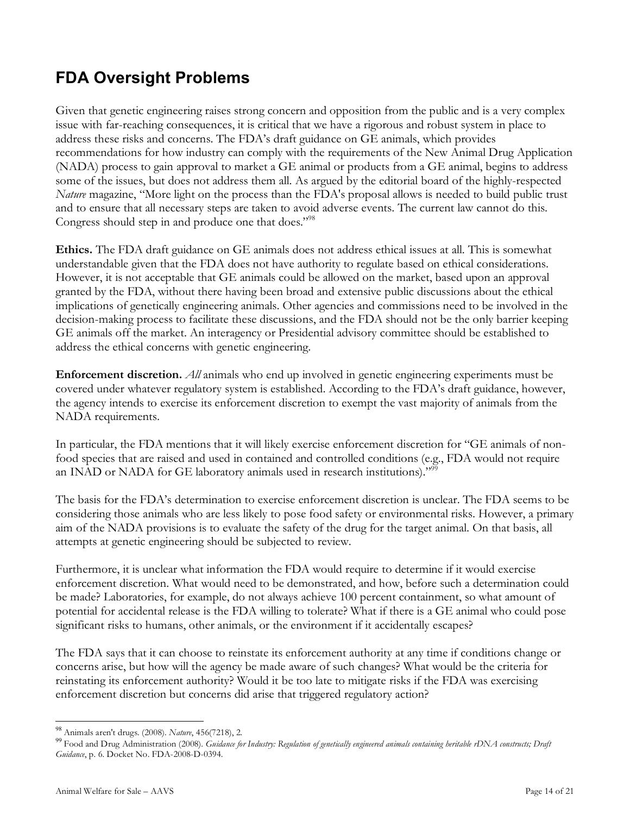# **FDA Oversight Problems**

Given that genetic engineering raises strong concern and opposition from the public and is a very complex issue with far-reaching consequences, it is critical that we have a rigorous and robust system in place to address these risks and concerns. The FDA's draft guidance on GE animals, which provides recommendations for how industry can comply with the requirements of the New Animal Drug Application (NADA) process to gain approval to market a GE animal or products from a GE animal, begins to address some of the issues, but does not address them all. As argued by the editorial board of the highly-respected *Nature* magazine, "More light on the process than the FDA's proposal allows is needed to build public trust and to ensure that all necessary steps are taken to avoid adverse events. The current law cannot do this. Congress should step in and produce one that does."<sup>98</sup>

**Ethics.** The FDA draft guidance on GE animals does not address ethical issues at all. This is somewhat understandable given that the FDA does not have authority to regulate based on ethical considerations. However, it is not acceptable that GE animals could be allowed on the market, based upon an approval granted by the FDA, without there having been broad and extensive public discussions about the ethical implications of genetically engineering animals. Other agencies and commissions need to be involved in the decision-making process to facilitate these discussions, and the FDA should not be the only barrier keeping GE animals off the market. An interagency or Presidential advisory committee should be established to address the ethical concerns with genetic engineering.

**Enforcement discretion.** *All* animals who end up involved in genetic engineering experiments must be covered under whatever regulatory system is established. According to the FDA's draft guidance, however, the agency intends to exercise its enforcement discretion to exempt the vast majority of animals from the NADA requirements.

In particular, the FDA mentions that it will likely exercise enforcement discretion for "GE animals of nonfood species that are raised and used in contained and controlled conditions (e.g., FDA would not require an INAD or NADA for GE laboratory animals used in research institutions)."<sup>99</sup>

The basis for the FDA's determination to exercise enforcement discretion is unclear. The FDA seems to be considering those animals who are less likely to pose food safety or environmental risks. However, a primary aim of the NADA provisions is to evaluate the safety of the drug for the target animal. On that basis, all attempts at genetic engineering should be subjected to review.

Furthermore, it is unclear what information the FDA would require to determine if it would exercise enforcement discretion. What would need to be demonstrated, and how, before such a determination could be made? Laboratories, for example, do not always achieve 100 percent containment, so what amount of potential for accidental release is the FDA willing to tolerate? What if there is a GE animal who could pose significant risks to humans, other animals, or the environment if it accidentally escapes?

The FDA says that it can choose to reinstate its enforcement authority at any time if conditions change or concerns arise, but how will the agency be made aware of such changes? What would be the criteria for reinstating its enforcement authority? Would it be too late to mitigate risks if the FDA was exercising enforcement discretion but concerns did arise that triggered regulatory action?

<sup>&</sup>lt;sup>98</sup> Animals aren't drugs. (2008). Nature, 456(7218), 2.<br><sup>99</sup> Food and Drug Administration (2008). *Guidance for Industry: Regulation of genetically engineered animals containing heritable rDNA constructs; Draft Guidance*, p. 6. Docket No. FDA-2008-D-0394.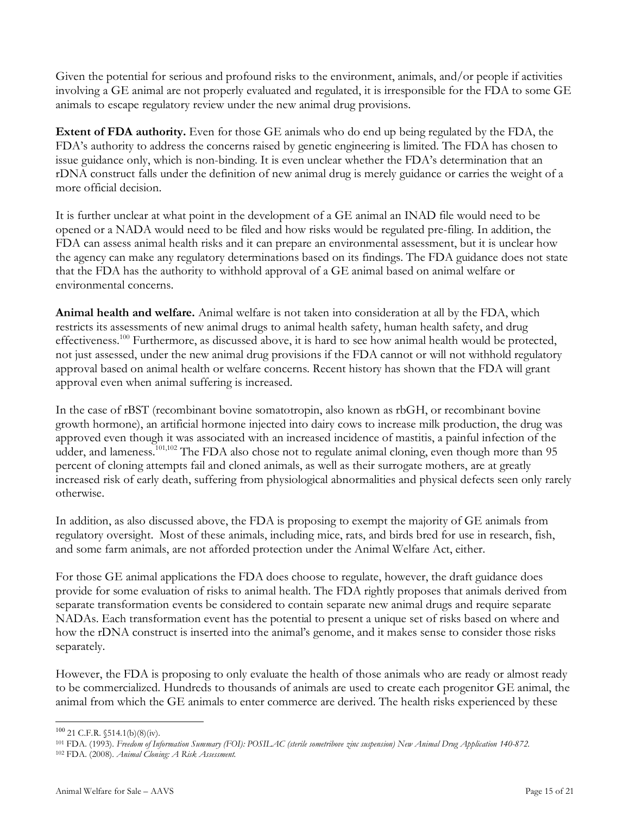Given the potential for serious and profound risks to the environment, animals, and/or people if activities involving a GE animal are not properly evaluated and regulated, it is irresponsible for the FDA to some GE animals to escape regulatory review under the new animal drug provisions.

**Extent of FDA authority.** Even for those GE animals who do end up being regulated by the FDA, the FDA's authority to address the concerns raised by genetic engineering is limited. The FDA has chosen to issue guidance only, which is non-binding. It is even unclear whether the FDA's determination that an rDNA construct falls under the definition of new animal drug is merely guidance or carries the weight of a more official decision.

It is further unclear at what point in the development of a GE animal an INAD file would need to be opened or a NADA would need to be filed and how risks would be regulated pre-filing. In addition, the FDA can assess animal health risks and it can prepare an environmental assessment, but it is unclear how the agency can make any regulatory determinations based on its findings. The FDA guidance does not state that the FDA has the authority to withhold approval of a GE animal based on animal welfare or environmental concerns.

**Animal health and welfare.** Animal welfare is not taken into consideration at all by the FDA, which restricts its assessments of new animal drugs to animal health safety, human health safety, and drug effectiveness.<sup>100</sup> Furthermore, as discussed above, it is hard to see how animal health would be protected, not just assessed, under the new animal drug provisions if the FDA cannot or will not withhold regulatory approval based on animal health or welfare concerns. Recent history has shown that the FDA will grant approval even when animal suffering is increased.

In the case of rBST (recombinant bovine somatotropin, also known as rbGH, or recombinant bovine growth hormone), an artificial hormone injected into dairy cows to increase milk production, the drug was approved even though it was associated with an increased incidence of mastitis, a painful infection of the udder, and lameness.<sup>101,102</sup> The FDA also chose not to regulate animal cloning, even though more than 95 percent of cloning attempts fail and cloned animals, as well as their surrogate mothers, are at greatly increased risk of early death, suffering from physiological abnormalities and physical defects seen only rarely otherwise.

In addition, as also discussed above, the FDA is proposing to exempt the majority of GE animals from regulatory oversight. Most of these animals, including mice, rats, and birds bred for use in research, fish, and some farm animals, are not afforded protection under the Animal Welfare Act, either.

For those GE animal applications the FDA does choose to regulate, however, the draft guidance does provide for some evaluation of risks to animal health. The FDA rightly proposes that animals derived from separate transformation events be considered to contain separate new animal drugs and require separate NADAs. Each transformation event has the potential to present a unique set of risks based on where and how the rDNA construct is inserted into the animal's genome, and it makes sense to consider those risks separately.

However, the FDA is proposing to only evaluate the health of those animals who are ready or almost ready to be commercialized. Hundreds to thousands of animals are used to create each progenitor GE animal, the animal from which the GE animals to enter commerce are derived. The health risks experienced by these

 <sup>100</sup> <sup>21</sup> C.F.R. §514.1(b)(8)(iv).

<sup>101</sup> FDA. (1993). Freedom of Information Summary (FOI): POSILAC (sterile sometribove zinc suspension) New Animal Drug Application 140-872. <sup>102</sup> FDA. (2008). *Animal Cloning: A Risk Assessment.*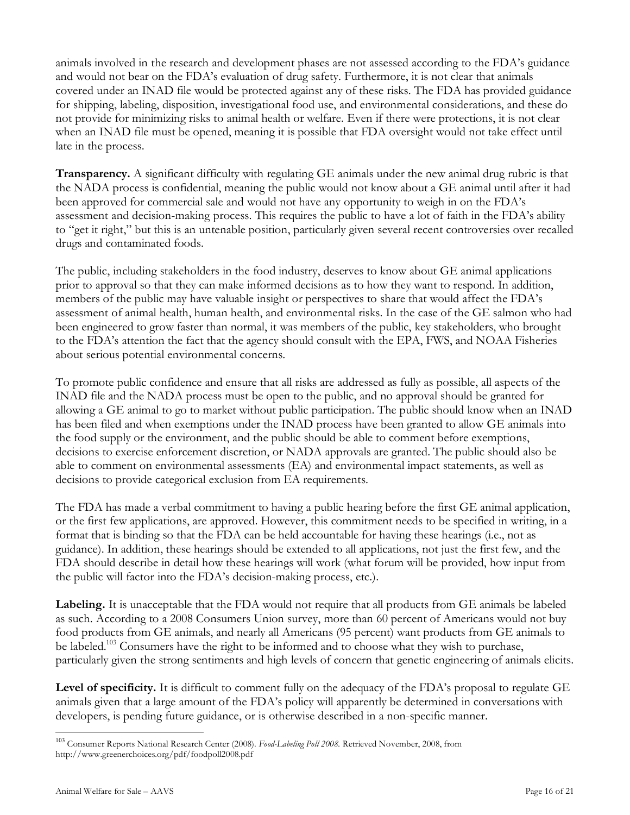animals involved in the research and development phases are not assessed according to the FDA's guidance and would not bear on the FDA's evaluation of drug safety. Furthermore, it is not clear that animals covered under an INAD file would be protected against any of these risks. The FDA has provided guidance for shipping, labeling, disposition, investigational food use, and environmental considerations, and these do not provide for minimizing risks to animal health or welfare. Even if there were protections, it is not clear when an INAD file must be opened, meaning it is possible that FDA oversight would not take effect until late in the process.

**Transparency.** A significant difficulty with regulating GE animals under the new animal drug rubric is that the NADA process is confidential, meaning the public would not know about a GE animal until after it had been approved for commercial sale and would not have any opportunity to weigh in on the FDA's assessment and decision-making process. This requires the public to have a lot of faith in the FDA's ability to "get it right," but this is an untenable position, particularly given several recent controversies over recalled drugs and contaminated foods.

The public, including stakeholders in the food industry, deserves to know about GE animal applications prior to approval so that they can make informed decisions as to how they want to respond. In addition, members of the public may have valuable insight or perspectives to share that would affect the FDA's assessment of animal health, human health, and environmental risks. In the case of the GE salmon who had been engineered to grow faster than normal, it was members of the public, key stakeholders, who brought to the FDA's attention the fact that the agency should consult with the EPA, FWS, and NOAA Fisheries about serious potential environmental concerns.

To promote public confidence and ensure that all risks are addressed as fully as possible, all aspects of the INAD file and the NADA process must be open to the public, and no approval should be granted for allowing a GE animal to go to market without public participation. The public should know when an INAD has been filed and when exemptions under the INAD process have been granted to allow GE animals into the food supply or the environment, and the public should be able to comment before exemptions, decisions to exercise enforcement discretion, or NADA approvals are granted. The public should also be able to comment on environmental assessments (EA) and environmental impact statements, as well as decisions to provide categorical exclusion from EA requirements.

The FDA has made a verbal commitment to having a public hearing before the first GE animal application, or the first few applications, are approved. However, this commitment needs to be specified in writing, in a format that is binding so that the FDA can be held accountable for having these hearings (i.e., not as guidance). In addition, these hearings should be extended to all applications, not just the first few, and the FDA should describe in detail how these hearings will work (what forum will be provided, how input from the public will factor into the FDA's decision-making process, etc.).

**Labeling.** It is unacceptable that the FDA would not require that all products from GE animals be labeled as such. According to a 2008 Consumers Union survey, more than 60 percent of Americans would not buy food products from GE animals, and nearly all Americans (95 percent) want products from GE animals to be labeled.<sup>103</sup> Consumers have the right to be informed and to choose what they wish to purchase, particularly given the strong sentiments and high levels of concern that genetic engineering of animals elicits.

**Level of specificity.** It is difficult to comment fully on the adequacy of the FDA's proposal to regulate GE animals given that a large amount of the FDA's policy will apparently be determined in conversations with developers, is pending future guidance, or is otherwise described in a non-specific manner.

 <sup>103</sup> Consumer Reports National Research Center (2008). *Food-Labeling Poll 2008.* Retrieved November, 2008, from http://www.greenerchoices.org/pdf/foodpoll2008.pdf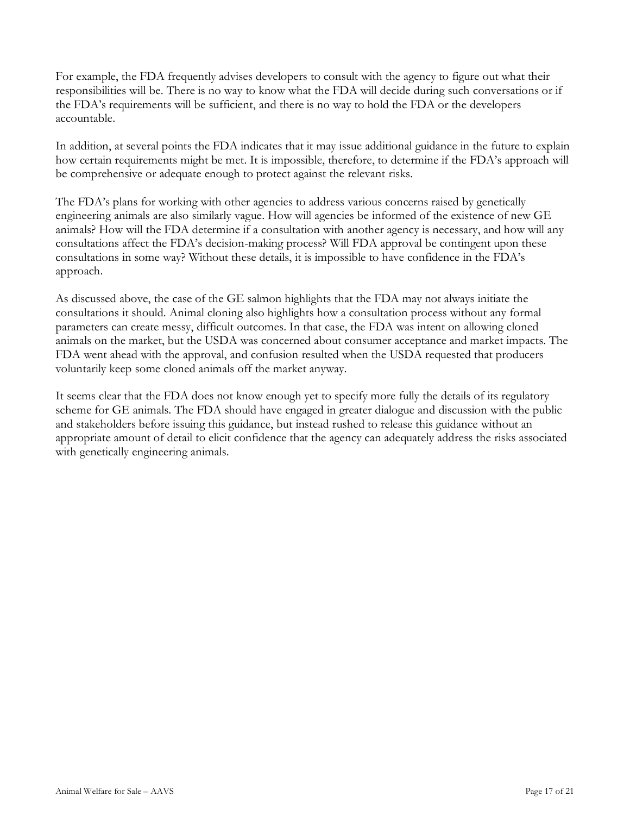For example, the FDA frequently advises developers to consult with the agency to figure out what their responsibilities will be. There is no way to know what the FDA will decide during such conversations or if the FDA's requirements will be sufficient, and there is no way to hold the FDA or the developers accountable.

In addition, at several points the FDA indicates that it may issue additional guidance in the future to explain how certain requirements might be met. It is impossible, therefore, to determine if the FDA's approach will be comprehensive or adequate enough to protect against the relevant risks.

The FDA's plans for working with other agencies to address various concerns raised by genetically engineering animals are also similarly vague. How will agencies be informed of the existence of new GE animals? How will the FDA determine if a consultation with another agency is necessary, and how will any consultations affect the FDA's decision-making process? Will FDA approval be contingent upon these consultations in some way? Without these details, it is impossible to have confidence in the FDA's approach.

As discussed above, the case of the GE salmon highlights that the FDA may not always initiate the consultations it should. Animal cloning also highlights how a consultation process without any formal parameters can create messy, difficult outcomes. In that case, the FDA was intent on allowing cloned animals on the market, but the USDA was concerned about consumer acceptance and market impacts. The FDA went ahead with the approval, and confusion resulted when the USDA requested that producers voluntarily keep some cloned animals off the market anyway.

It seems clear that the FDA does not know enough yet to specify more fully the details of its regulatory scheme for GE animals. The FDA should have engaged in greater dialogue and discussion with the public and stakeholders before issuing this guidance, but instead rushed to release this guidance without an appropriate amount of detail to elicit confidence that the agency can adequately address the risks associated with genetically engineering animals.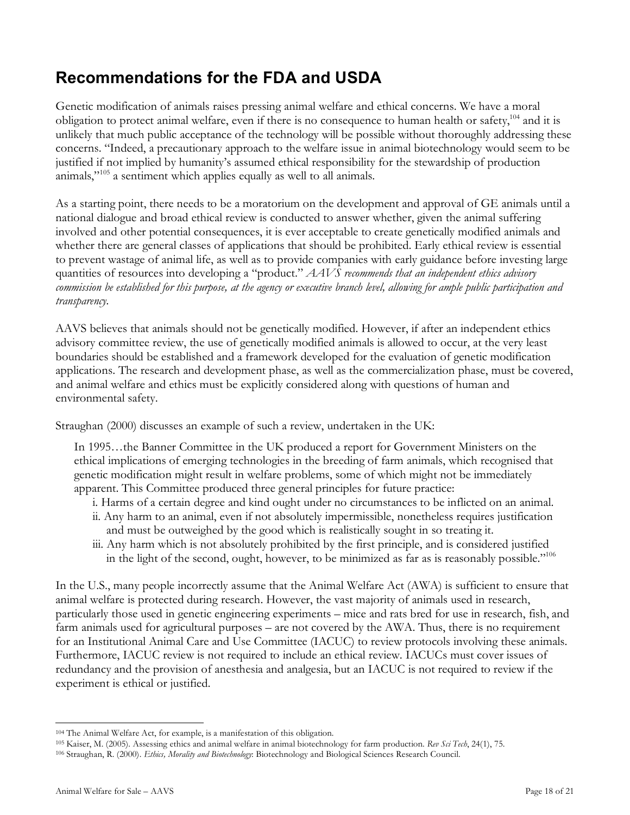# **Recommendations for the FDA and USDA**

Genetic modification of animals raises pressing animal welfare and ethical concerns. We have a moral obligation to protect animal welfare, even if there is no consequence to human health or safety,<sup>104</sup> and it is unlikely that much public acceptance of the technology will be possible without thoroughly addressing these concerns. "Indeed, a precautionary approach to the welfare issue in animal biotechnology would seem to be justified if not implied by humanity's assumed ethical responsibility for the stewardship of production animals,"<sup>105</sup> a sentiment which applies equally as well to all animals.

As a starting point, there needs to be a moratorium on the development and approval of GE animals until a national dialogue and broad ethical review is conducted to answer whether, given the animal suffering involved and other potential consequences, it is ever acceptable to create genetically modified animals and whether there are general classes of applications that should be prohibited. Early ethical review is essential to prevent wastage of animal life, as well as to provide companies with early guidance before investing large quantities of resources into developing a "product." *AAVS recommends that an independent ethics advisory* commission be established for this purpose, at the agency or executive branch level, allowing for ample public participation and *transparency.*

AAVS believes that animals should not be genetically modified. However, if after an independent ethics advisory committee review, the use of genetically modified animals is allowed to occur, at the very least boundaries should be established and a framework developed for the evaluation of genetic modification applications. The research and development phase, as well as the commercialization phase, must be covered, and animal welfare and ethics must be explicitly considered along with questions of human and environmental safety.

Straughan (2000) discusses an example of such a review, undertaken in the UK:

In 1995…the Banner Committee in the UK produced a report for Government Ministers on the ethical implications of emerging technologies in the breeding of farm animals, which recognised that genetic modification might result in welfare problems, some of which might not be immediately apparent. This Committee produced three general principles for future practice:

- i. Harms of a certain degree and kind ought under no circumstances to be inflicted on an animal.
- ii. Any harm to an animal, even if not absolutely impermissible, nonetheless requires justification and must be outweighed by the good which is realistically sought in so treating it.
- iii. Any harm which is not absolutely prohibited by the first principle, and is considered justified in the light of the second, ought, however, to be minimized as far as is reasonably possible."106

In the U.S., many people incorrectly assume that the Animal Welfare Act (AWA) is sufficient to ensure that animal welfare is protected during research. However, the vast majority of animals used in research, particularly those used in genetic engineering experiments – mice and rats bred for use in research, fish, and farm animals used for agricultural purposes – are not covered by the AWA. Thus, there is no requirement for an Institutional Animal Care and Use Committee (IACUC) to review protocols involving these animals. Furthermore, IACUC review is not required to include an ethical review. IACUCs must cover issues of redundancy and the provision of anesthesia and analgesia, but an IACUC is not required to review if the experiment is ethical or justified.

<sup>104</sup> The Animal Welfare Act, for example, is a manifestation of this obligation.

<sup>105</sup> Kaiser, M. (2005). Assessing ethics and animal welfare in animal biotechnology for farm production. *Rev Sci Tech*, 24(1), 75.

<sup>106</sup> Straughan, R. (2000). *Ethics, Morality and Biotechnology*: Biotechnology and Biological Sciences Research Council.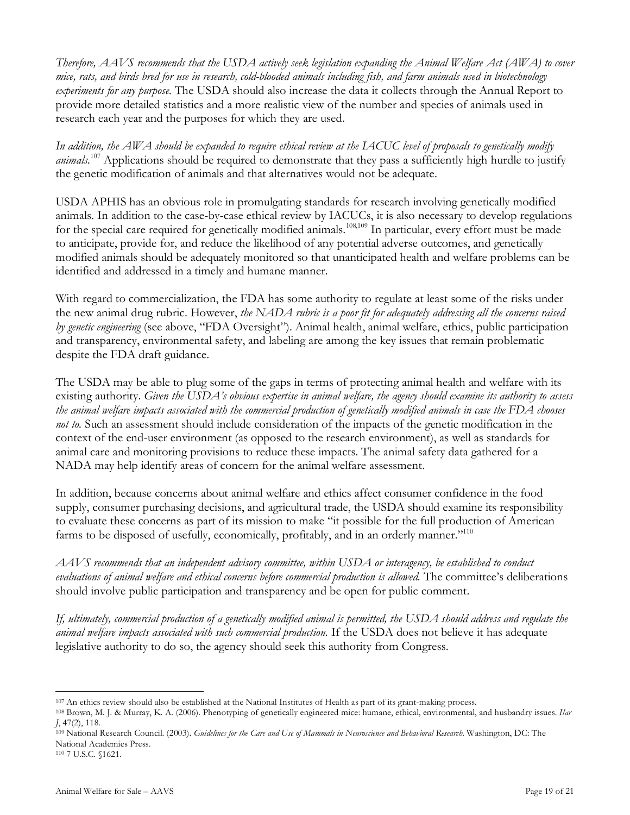*Therefore, AAVS recommends that the USDA actively seek legislation expanding the Animal Welfare Act (AWA) to cover* mice, rats, and birds bred for use in research, cold-blooded animals including fish, and farm animals used in biotechnology *experiments for any purpose.* The USDA should also increase the data it collects through the Annual Report to provide more detailed statistics and a more realistic view of the number and species of animals used in research each year and the purposes for which they are used.

In addition, the AWA should be expanded to require ethical review at the LACUC level of proposals to genetically modify *animals.* <sup>107</sup> Applications should be required to demonstrate that they pass a sufficiently high hurdle to justify the genetic modification of animals and that alternatives would not be adequate.

USDA APHIS has an obvious role in promulgating standards for research involving genetically modified animals. In addition to the case-by-case ethical review by IACUCs, it is also necessary to develop regulations for the special care required for genetically modified animals.<sup>108,109</sup> In particular, every effort must be made to anticipate, provide for, and reduce the likelihood of any potential adverse outcomes, and genetically modified animals should be adequately monitored so that unanticipated health and welfare problems can be identified and addressed in a timely and humane manner.

With regard to commercialization, the FDA has some authority to regulate at least some of the risks under the new animal drug rubric. However, *the NADA rubric is a poor fit for adequately addressing all the concerns raised by genetic engineering* (see above, "FDA Oversight"). Animal health, animal welfare, ethics, public participation and transparency, environmental safety, and labeling are among the key issues that remain problematic despite the FDA draft guidance.

The USDA may be able to plug some of the gaps in terms of protecting animal health and welfare with its existing authority. Given the USDA's obvious expertise in animal welfare, the agency should examine its authority to assess the animal welfare impacts associated with the commercial production of genetically modified animals in case the FDA chooses *not to.* Such an assessment should include consideration of the impacts of the genetic modification in the context of the end-user environment (as opposed to the research environment), as well as standards for animal care and monitoring provisions to reduce these impacts. The animal safety data gathered for a NADA may help identify areas of concern for the animal welfare assessment.

In addition, because concerns about animal welfare and ethics affect consumer confidence in the food supply, consumer purchasing decisions, and agricultural trade, the USDA should examine its responsibility to evaluate these concerns as part of its mission to make "it possible for the full production of American farms to be disposed of usefully, economically, profitably, and in an orderly manner."<sup>110</sup>

*AAVS recommends that an independent advisory committee, within USDA or interagency, be established to conduct evaluations of animal welfare and ethical concerns before commercial production is allowed.* The committee's deliberations should involve public participation and transparency and be open for public comment.

If, ultimately, commercial production of a genetically modified animal is permitted, the USDA should address and regulate the *animal welfare impacts associated with such commercial production.* If the USDA does not believe it has adequate legislative authority to do so, the agency should seek this authority from Congress.

<sup>107</sup> An ethics review should also be established at the National Institutes of Health as part of its grant-making process.

<sup>108</sup> Brown, M. J. & Murray, K. A. (2006). Phenotyping of genetically engineered mice: humane, ethical, environmental, and husbandry issues. *Ilar J*, 47(2), 118.

<sup>109</sup> National Research Council. (2003). Guidelines for the Care and Use of Mammals in Neuroscience and Behavioral Research. Washington, DC: The National Academies Press.

<sup>110</sup> 7 U.S.C. §1621.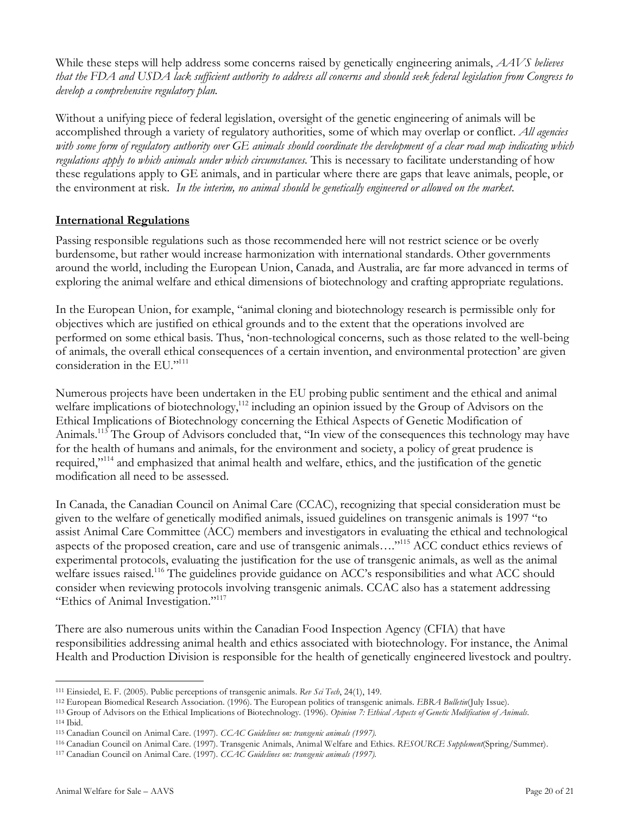While these steps will help address some concerns raised by genetically engineering animals, *AAVS believes* that the FDA and USDA lack sufficient authority to address all concerns and should seek federal legislation from Congress to *develop a comprehensive regulatory plan.*

Without a unifying piece of federal legislation, oversight of the genetic engineering of animals will be accomplished through a variety of regulatory authorities, some of which may overlap or conflict. *All agencies* with some form of regulatory authority over GE animals should coordinate the development of a clear road map indicating which *regulations apply to which animals under which circumstances.* This is necessary to facilitate understanding of how these regulations apply to GE animals, and in particular where there are gaps that leave animals, people, or the environment at risk. *In the interim, no animal should be genetically engineered or allowed on the market.*

### **International Regulations**

Passing responsible regulations such as those recommended here will not restrict science or be overly burdensome, but rather would increase harmonization with international standards. Other governments around the world, including the European Union, Canada, and Australia, are far more advanced in terms of exploring the animal welfare and ethical dimensions of biotechnology and crafting appropriate regulations.

In the European Union, for example, "animal cloning and biotechnology research is permissible only for objectives which are justified on ethical grounds and to the extent that the operations involved are performed on some ethical basis. Thus, 'non-technological concerns, such as those related to the well-being of animals, the overall ethical consequences of a certain invention, and environmental protection' are given consideration in the EU."111

Numerous projects have been undertaken in the EU probing public sentiment and the ethical and animal welfare implications of biotechnology,<sup>112</sup> including an opinion issued by the Group of Advisors on the Ethical Implications of Biotechnology concerning the Ethical Aspects of Genetic Modification of Animals.<sup>113</sup> The Group of Advisors concluded that, "In view of the consequences this technology may have for the health of humans and animals, for the environment and society, a policy of great prudence is required,"<sup>114</sup> and emphasized that animal health and welfare, ethics, and the justification of the genetic modification all need to be assessed.

In Canada, the Canadian Council on Animal Care (CCAC), recognizing that special consideration must be given to the welfare of genetically modified animals, issued guidelines on transgenic animals is 1997 "to assist Animal Care Committee (ACC) members and investigators in evaluating the ethical and technological aspects of the proposed creation, care and use of transgenic animals…."115 ACC conduct ethics reviews of experimental protocols, evaluating the justification for the use of transgenic animals, as well as the animal welfare issues raised.<sup>116</sup> The guidelines provide guidance on ACC's responsibilities and what ACC should consider when reviewing protocols involving transgenic animals. CCAC also has a statement addressing "Ethics of Animal Investigation."117

There are also numerous units within the Canadian Food Inspection Agency (CFIA) that have responsibilities addressing animal health and ethics associated with biotechnology. For instance, the Animal Health and Production Division is responsible for the health of genetically engineered livestock and poultry.

<sup>111</sup> Einsiedel, E. F. (2005). Public perceptions of transgenic animals. *Rev Sci Tech*, 24(1), 149.

<sup>112</sup> European Biomedical Research Association. (1996). The European politics of transgenic animals. *EBRA Bulletin*(July Issue).

<sup>113</sup> Group of Advisors on the Ethical Implications of Biotechnology. (1996). *Opinion 7: Ethical Aspects of Genetic Modification of Animals.*

<sup>114</sup> Ibid.

<sup>115</sup> Canadian Council on Animal Care. (1997). *CCAC Guidelines on: transgenic animals (1997).*

<sup>116</sup> Canadian Council on Animal Care. (1997). Transgenic Animals, Animal Welfare and Ethics. *RESOURCE Supplement*(Spring/Summer).

<sup>117</sup> Canadian Council on Animal Care. (1997). *CCAC Guidelines on: transgenic animals (1997).*